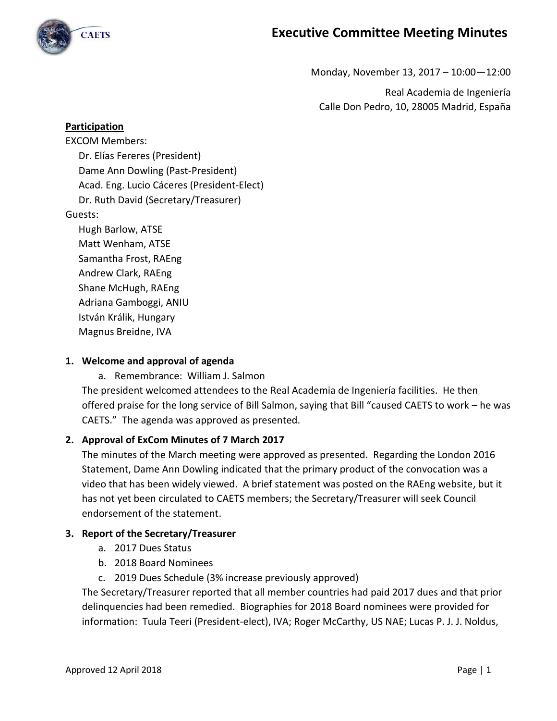

**CAETS** 

Monday, November 13, 2017 – 10:00—12:00

Real Academia de Ingeniería Calle Don Pedro, 10, 28005 Madrid, España

#### **Participation**

EXCOM Members: Dr. Elías Fereres (President) Dame Ann Dowling (Past-President) Acad. Eng. Lucio Cáceres (President-Elect) Dr. Ruth David (Secretary/Treasurer) Guests: Hugh Barlow, ATSE Matt Wenham, ATSE Samantha Frost, RAEng Andrew Clark, RAEng Shane McHugh, RAEng Adriana Gamboggi, ANIU

István Králik, Hungary

Magnus Breidne, IVA

#### **1. Welcome and approval of agenda**

a. Remembrance: William J. Salmon

The president welcomed attendees to the Real Academia de Ingeniería facilities. He then offered praise for the long service of Bill Salmon, saying that Bill "caused CAETS to work – he was CAETS." The agenda was approved as presented.

#### **2. Approval of ExCom Minutes of 7 March 2017**

The minutes of the March meeting were approved as presented. Regarding the London 2016 Statement, Dame Ann Dowling indicated that the primary product of the convocation was a video that has been widely viewed. A brief statement was posted on the RAEng website, but it has not yet been circulated to CAETS members; the Secretary/Treasurer will seek Council endorsement of the statement.

#### **3. Report of the Secretary/Treasurer**

- a. 2017 Dues Status
- b. 2018 Board Nominees
- c. 2019 Dues Schedule (3% increase previously approved)

The Secretary/Treasurer reported that all member countries had paid 2017 dues and that prior delinquencies had been remedied. Biographies for 2018 Board nominees were provided for information: Tuula Teeri (President-elect), IVA; Roger McCarthy, US NAE; Lucas P. J. J. Noldus,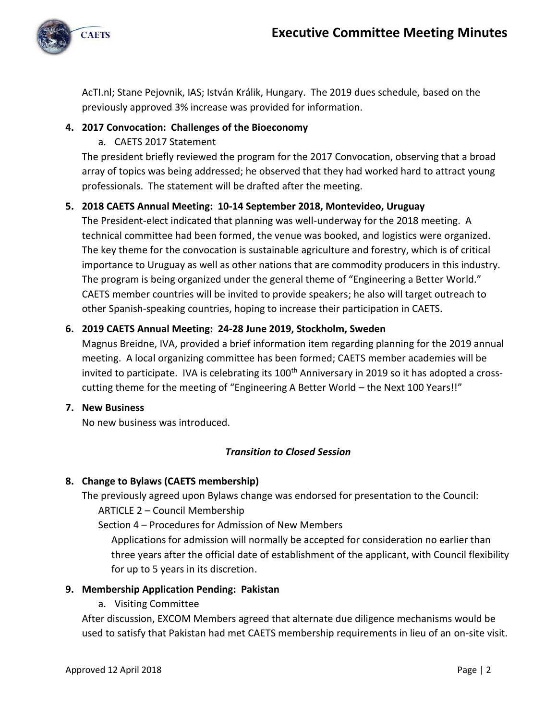

AcTI.nl; Stane Pejovnik, IAS; István Králik, Hungary. The 2019 dues schedule, based on the previously approved 3% increase was provided for information.

# **4. 2017 Convocation: Challenges of the Bioeconomy**

a. CAETS 2017 Statement

The president briefly reviewed the program for the 2017 Convocation, observing that a broad array of topics was being addressed; he observed that they had worked hard to attract young professionals. The statement will be drafted after the meeting.

# **5. 2018 CAETS Annual Meeting: 10-14 September 2018, Montevideo, Uruguay**

The President-elect indicated that planning was well-underway for the 2018 meeting. A technical committee had been formed, the venue was booked, and logistics were organized. The key theme for the convocation is sustainable agriculture and forestry, which is of critical importance to Uruguay as well as other nations that are commodity producers in this industry. The program is being organized under the general theme of "Engineering a Better World." CAETS member countries will be invited to provide speakers; he also will target outreach to other Spanish-speaking countries, hoping to increase their participation in CAETS.

# **6. 2019 CAETS Annual Meeting: 24-28 June 2019, Stockholm, Sweden**

Magnus Breidne, IVA, provided a brief information item regarding planning for the 2019 annual meeting. A local organizing committee has been formed; CAETS member academies will be invited to participate. IVA is celebrating its  $100<sup>th</sup>$  Anniversary in 2019 so it has adopted a crosscutting theme for the meeting of "Engineering A Better World – the Next 100 Years!!"

# **7. New Business**

No new business was introduced.

# *Transition to Closed Session*

# **8. Change to Bylaws (CAETS membership)**

The previously agreed upon Bylaws change was endorsed for presentation to the Council:

ARTICLE 2 – Council Membership

Section 4 – Procedures for Admission of New Members

Applications for admission will normally be accepted for consideration no earlier than three years after the official date of establishment of the applicant, with Council flexibility for up to 5 years in its discretion.

# **9. Membership Application Pending: Pakistan**

a. Visiting Committee

After discussion, EXCOM Members agreed that alternate due diligence mechanisms would be used to satisfy that Pakistan had met CAETS membership requirements in lieu of an on-site visit.